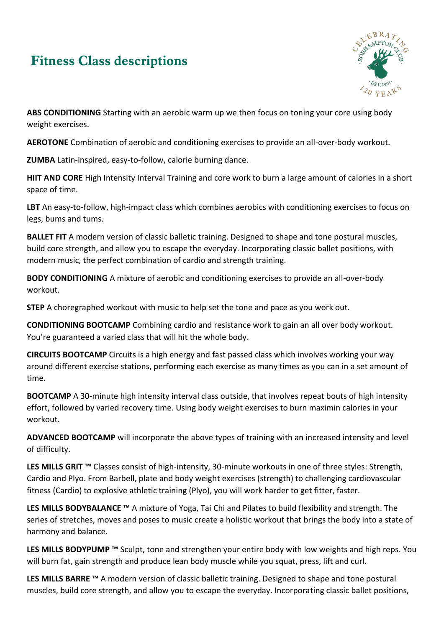## **Fitness Class descriptions**



**ABS CONDITIONING** Starting with an aerobic warm up we then focus on toning your core using body weight exercises.

**AEROTONE** Combination of aerobic and conditioning exercises to provide an all-over-body workout.

**ZUMBA** Latin-inspired, easy-to-follow, calorie burning dance.

**HIIT AND CORE** High Intensity Interval Training and core work to burn a large amount of calories in a short space of time.

LBT An easy-to-follow, high-impact class which combines aerobics with conditioning exercises to focus on legs, bums and tums.

**BALLET FIT** A modern version of classic balletic training. Designed to shape and tone postural muscles, build core strength, and allow you to escape the everyday. Incorporating classic ballet positions, with modern music, the perfect combination of cardio and strength training.

**BODY CONDITIONING** A mixture of aerobic and conditioning exercises to provide an all-over-body workout.

**STEP** A choregraphed workout with music to help set the tone and pace as you work out.

**CONDITIONING BOOTCAMP** Combining cardio and resistance work to gain an all over body workout. You're guaranteed a varied class that will hit the whole body.

**CIRCUITS BOOTCAMP** Circuits is a high energy and fast passed class which involves working your way around different exercise stations, performing each exercise as many times as you can in a set amount of time.

**BOOTCAMP** A 30-minute high intensity interval class outside, that involves repeat bouts of high intensity effort, followed by varied recovery time. Using body weight exercises to burn maximin calories in your workout.

**ADVANCED BOOTCAMP** will incorporate the above types of training with an increased intensity and level of difficulty.

**LES MILLS GRIT ™** Classes consist of high-intensity, 30-minute workouts in one of three styles: Strength, Cardio and Plyo. From Barbell, plate and body weight exercises (strength) to challenging cardiovascular fitness (Cardio) to explosive athletic training (Plyo), you will work harder to get fitter, faster.

**LES MILLS BODYBALANCE ™** A mixture of Yoga, Tai Chi and Pilates to build flexibility and strength. The series of stretches, moves and poses to music create a holistic workout that brings the body into a state of harmony and balance.

**LES MILLS BODYPUMP ™** Sculpt, tone and strengthen your entire body with low weights and high reps. You will burn fat, gain strength and produce lean body muscle while you squat, press, lift and curl.

**LES MILLS BARRE ™** A modern version of classic balletic training. Designed to shape and tone postural muscles, build core strength, and allow you to escape the everyday. Incorporating classic ballet positions,